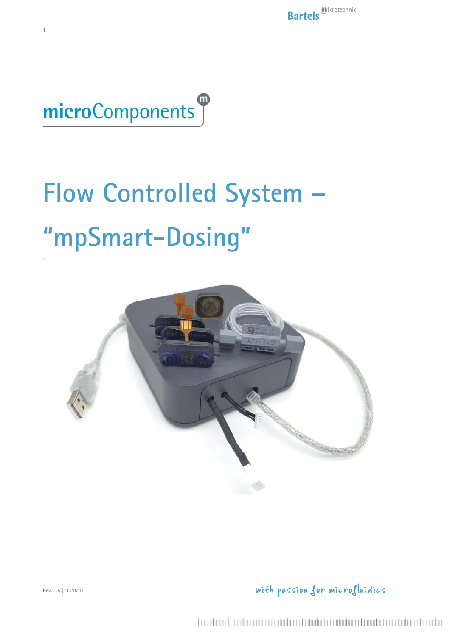

1

# **Flow Controlled System – "mpSmart-Dosing"**



with passion for microfluidics

Rev. 1.5 (11.2021)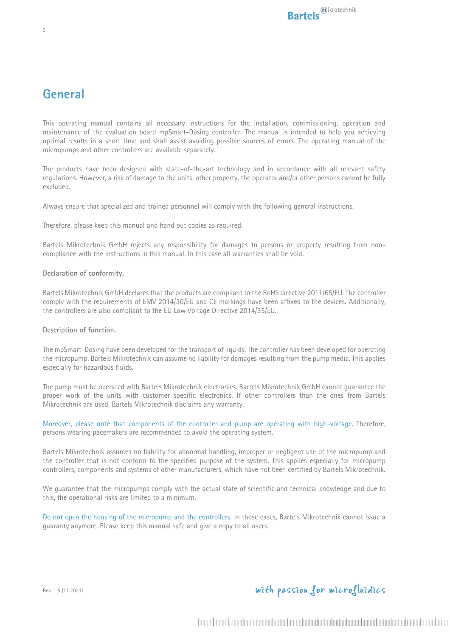#### **General**

This operating manual contains all necessary instructions for the installation, commissioning, operation and maintenance of the evaluation board mpSmart-Dosing controller. The manual is intended to help you achieving optimal results in a short time and shall assist avoiding possible sources of errors. The operating manual of the micropumps and other controllers are available separately.

The products have been designed with state-of-the-art technology and in accordance with all relevant safety regulations. However, a risk of damage to the units, other property, the operator and/or other persons cannot be fully excluded.

Always ensure that specialized and trained personnel will comply with the following general instructions.

Therefore, please keep this manual and hand out copies as required.

Bartels Mikrotechnik GmbH rejects any responsibility for damages to persons or property resulting from noncompliance with the instructions in this manual. In this case all warranties shall be void.

#### **Declaration of conformity.**

Bartels Mikrotechnik GmbH declares that the products are compliant to the RoHS directive 2011/65/EU. The controller comply with the requirements of EMV 2014/30/EU and CE markings have been affixed to the devices. Additionally, the controllers are also compliant to the EU Low Voltage Directive 2014/35/EU.

#### **Description of function.**

The mpSmart-Dosing have been developed for the transport of liquids. The controller has been developed for operating the micropump. Bartels Mikrotechnik can assume no liability for damages resulting from the pump media. This applies especially for hazardous fluids.

The pump must be operated with Bartels Mikrotechnik electronics. Bartels Mikrotechnik GmbH cannot guarantee the proper work of the units with customer specific electronics. If other controllers than the ones from Bartels Mikrotechnik are used, Bartels Mikrotechnik disclaims any warranty.

Moreover, please note that components of the controller and pump are operating with high-voltage. Therefore, persons wearing pacemakers are recommended to avoid the operating system.

Bartels Mikrotechnik assumes no liability for abnormal handling, improper or negligent use of the micropump and the controller that is not conform to the specified purpose of the system. This applies especially for micropump controllers, components and systems of other manufacturers, which have not been certified by Bartels Mikrotechnik.

We guarantee that the micropumps comply with the actual state of scientific and technical knowledge and due to this, the operational risks are limited to a minimum.

Do not open the housing of the micropump and the controllers. In those cases, Bartels Mikrotechnik cannot issue a guaranty anymore. Please keep this manual safe and give a copy to all users.

Rev. 1.5 (11.2021)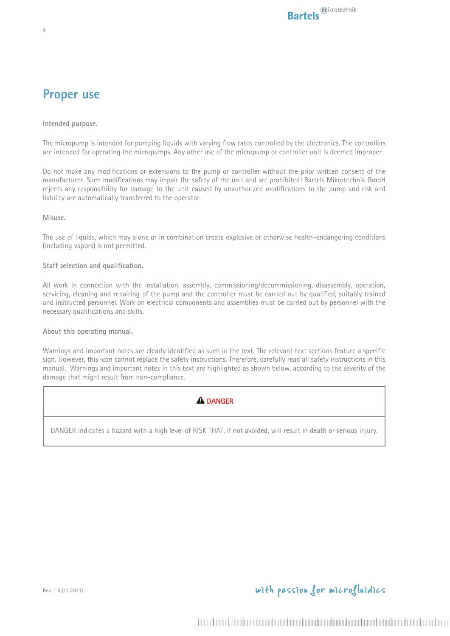#### **Proper use**

4

**Intended purpose.**

The micropump is intended for pumping liquids with varying flow rates controlled by the electronics. The controllers are intended for operating the micropumps. Any other use of the micropump or controller unit is deemed improper.

Do not make any modifications or extensions to the pump or controller without the prior written consent of the manufacturer. Such modifications may impair the safety of the unit and are prohibited! Bartels Mikrotechnik GmbH rejects any responsibility for damage to the unit caused by unauthorized modifications to the pump and risk and liability are automatically transferred to the operator.

**Misuse.**

The use of liquids, which may alone or in combination create explosive or otherwise health-endangering conditions (including vapors) is not permitted.

#### **Staff selection and qualification.**

All work in connection with the installation, assembly, commissioning/decommissioning, disassembly, operation, servicing, cleaning and repairing of the pump and the controller must be carried out by qualified, suitably trained and instructed personnel. Work on electrical components and assemblies must be carried out by personnel with the necessary qualifications and skills.

**About this operating manual.**

Warnings and important notes are clearly identified as such in the text. The relevant text sections feature a specific sign. However, this icon cannot replace the safety instructions. Therefore, carefully read all safety instructions in this manual. Warnings and important notes in this text are highlighted as shown below, according to the severity of the damage that might result from non-compliance.

#### **A** DANGER

DANGER indicates a hazard with a high level of RISK THAT, if not avoided, will result in death or serious injury.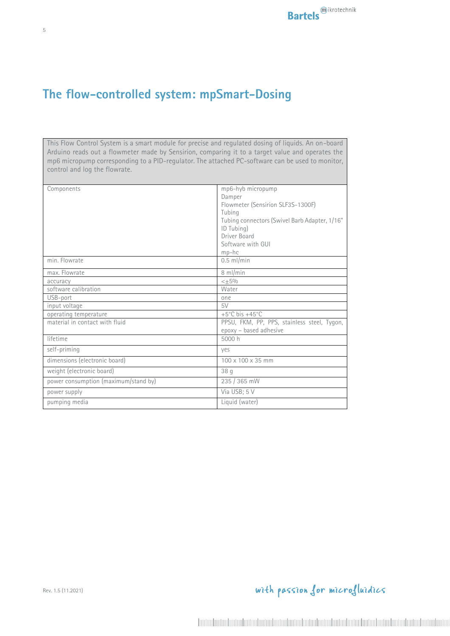## **The flow-controlled system: mpSmart-Dosing**

This Flow Control System is a smart module for precise and regulated dosing of liquids. An on-board Arduino reads out a flowmeter made by Sensirion, comparing it to a target value and operates the mp6 micropump corresponding to a PID-regulator. The attached PC-software can be used to monitor, control and log the flowrate.

| Components                           | mp6-hyb micropump                             |
|--------------------------------------|-----------------------------------------------|
|                                      | Damper                                        |
|                                      | Flowmeter (Sensirion SLF3S-1300F)             |
|                                      | Tubing                                        |
|                                      | Tubing connectors (Swivel Barb Adapter, 1/16" |
|                                      | ID Tubing)                                    |
|                                      | Driver Board                                  |
|                                      | Software with GUI                             |
|                                      | $mp-hc$                                       |
| min. Flowrate                        | $0.5$ ml/min                                  |
| max. Flowrate                        | 8 ml/min                                      |
| accuracy                             | $< +5%$                                       |
| software calibration                 | Water                                         |
| USB-port                             | one                                           |
| input voltage                        | 5V                                            |
| operating temperature                | +5 $^{\circ}$ C bis +45 $^{\circ}$ C          |
| material in contact with fluid       | PPSU, FKM, PP, PPS, stainless steel, Tygon,   |
|                                      | epoxy - based adhesive                        |
| lifetime                             | 5000 h                                        |
| self-priming                         | yes                                           |
| dimensions (electronic board)        | 100 x 100 x 35 mm                             |
| weight (electronic board)            | 38q                                           |
| power consumption (maximum/stand by) | 235 / 365 mW                                  |
| power supply                         | Via USB; 5 V                                  |
| pumping media                        | Liquid (water)                                |

Rev. 1.5 (11.2021)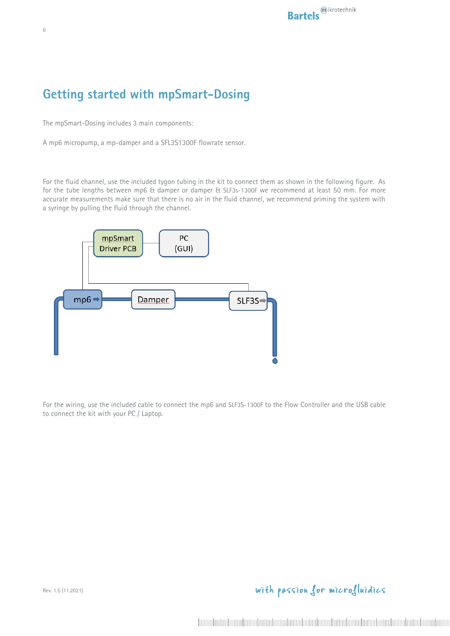## **Getting started with mpSmart-Dosing**

The mpSmart-Dosing includes 3 main components:

A mp6 micropump, a mp-damper and a SFL3S1300F flowrate sensor.

For the fluid channel, use the included tygon tubing in the kit to connect them as shown in the following figure. As for the tube lengths between mp6 & damper or damper & SLF3s-1300F we recommend at least 50 mm. For more accurate measurements make sure that there is no air in the fluid channel, we recommend priming the system with a syringe by pulling the fluid through the channel.



For the wiring, use the included cable to connect the mp6 and SLF3S-1300F to the Flow Controller and the USB cable to connect the kit with your PC / Laptop.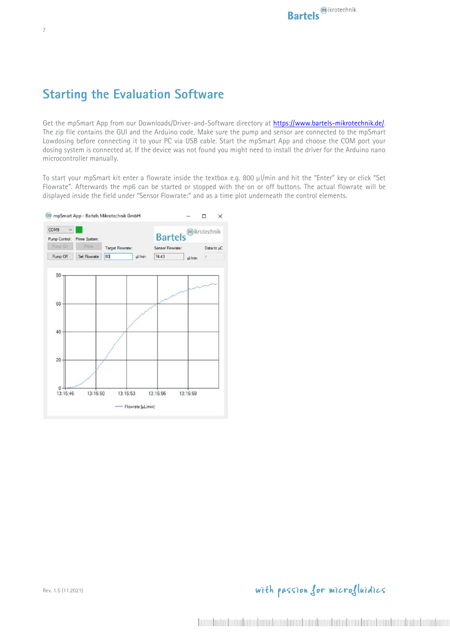## **Starting the Evaluation Software**

Get the mpSmart App from our Downloads/Driver-and-Software directory at https://www.bartels-mikrotechnik.de/. The zip file contains the GUI and the Arduino code. Make sure the pump and sensor are connected to the mpSmart Lowdosing before connecting it to your PC via USB cable. Start the mpSmart App and choose the COM port your dosing system is connected at. If the device was not found you might need to install the driver for the Arduino nano microcontroller manually.

To start your mpSmart kit enter a flowrate inside the textbox e.g. 800 µl/min and hit the "Enter" key or click "Set Flowrate". Afterwards the mp6 can be started or stopped with the on or off buttons. The actual flowrate will be displayed inside the field under "Sensor Flowrate:" and as a time plot underneath the control elements.

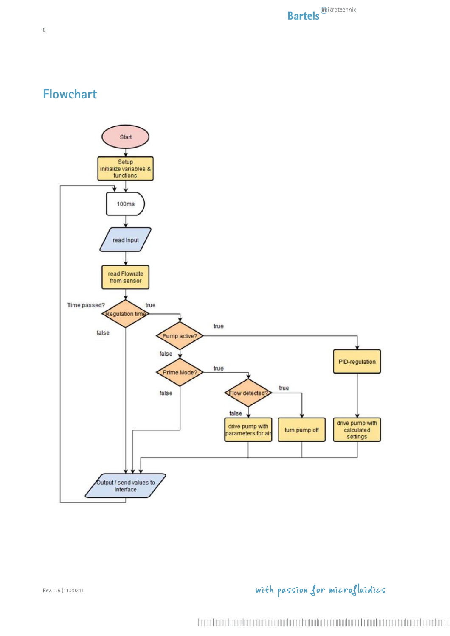## **Flowchart**